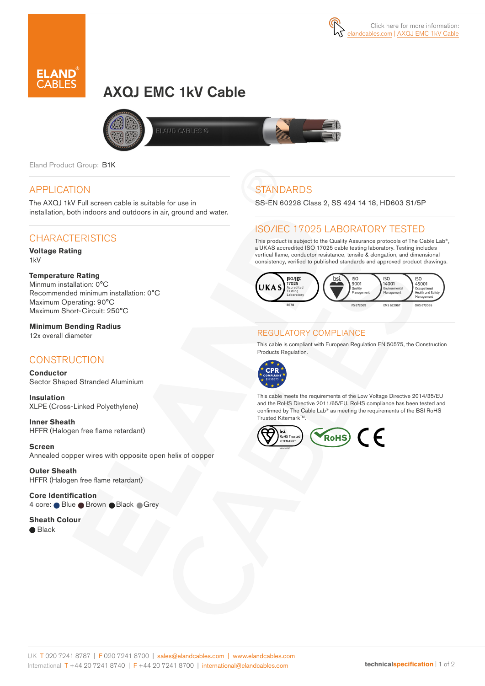



# AXQJ EMC 1kV Cable





Eland Product Group: B1K

#### APPLICATION

The AXQJ 1kV Full screen cable is suitable for use in installation, both indoors and outdoors in air, ground and water.

## **CHARACTERISTICS**

#### **Voltage Rating** 1kV

#### **Temperature Rating**

Minmum installation: 0°C Recommended minimum installation: 0°C Maximum Operating: 90°C Maximum Short-Circuit: 250°C

**Minimum Bending Radius**  12x overall diameter

# **CONSTRUCTION**

**Conductor** Sector Shaped Stranded Aluminium

**Insulation** XLPE (Cross-Linked Polyethylene)

**Inner Sheath** HFFR (Halogen free flame retardant)

**Screen** Annealed copper wires with opposite open helix of copper

**Outer Sheath** HFFR (Halogen free flame retardant)

**Core Identification**  4 core: Blue Brown Black Grey

#### **Sheath Colour**

**Black** 

# **STANDARDS**

SS-EN 60228 Class 2, SS 424 14 18, HD603 S1/5P

## ISO/IEC 17025 LABORATORY TESTED

This product is subject to the Quality Assurance protocols of The Cable Lab®, a UKAS accredited ISO 17025 cable testing laboratory. Testing includes vertical flame, conductor resistance, tensile & elongation, and dimensional consistency, verified to published standards and approved product drawings.



#### REGULATORY COMPLIANCE

This cable is compliant with European Regulation EN 50575, the Construction Products Regulation.



This cable meets the requirements of the Low Voltage Directive 2014/35/EU and the RoHS Directive 2011/65/EU. RoHS compliance has been tested and confirmed by The Cable Lab® as meeting the requirements of the BSI RoHS Trusted Kitemark™.